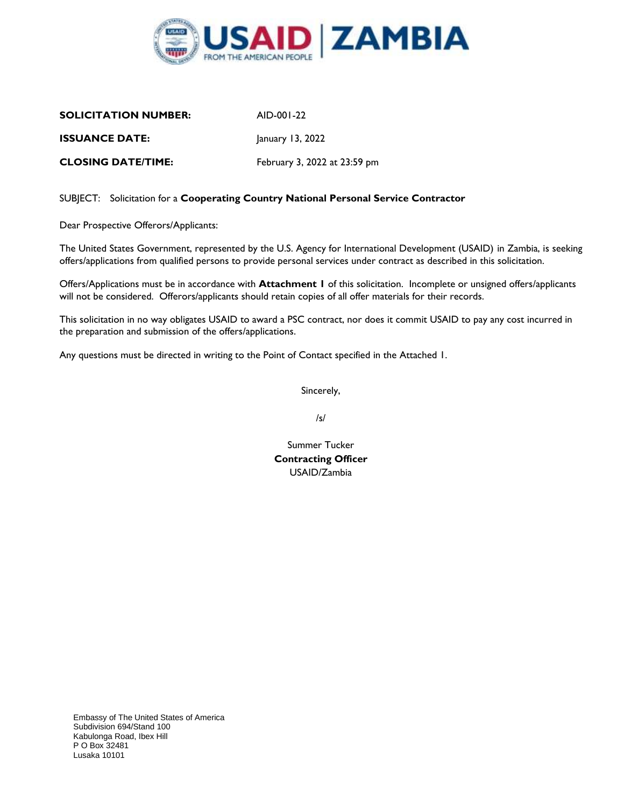

| <b>SOLICITATION NUMBER:</b> | AID-001-22                   |
|-----------------------------|------------------------------|
| <b>ISSUANCE DATE:</b>       | January 13, 2022             |
| <b>CLOSING DATE/TIME:</b>   | February 3, 2022 at 23:59 pm |

### SUBJECT: Solicitation for a **Cooperating Country National Personal Service Contractor**

Dear Prospective Offerors/Applicants:

The United States Government, represented by the U.S. Agency for International Development (USAID) in Zambia, is seeking offers/applications from qualified persons to provide personal services under contract as described in this solicitation.

Offers/Applications must be in accordance with **Attachment 1** of this solicitation. Incomplete or unsigned offers/applicants will not be considered. Offerors/applicants should retain copies of all offer materials for their records.

This solicitation in no way obligates USAID to award a PSC contract, nor does it commit USAID to pay any cost incurred in the preparation and submission of the offers/applications.

Any questions must be directed in writing to the Point of Contact specified in the Attached 1.

Sincerely,

/s/

Summer Tucker **Contracting Officer** USAID/Zambia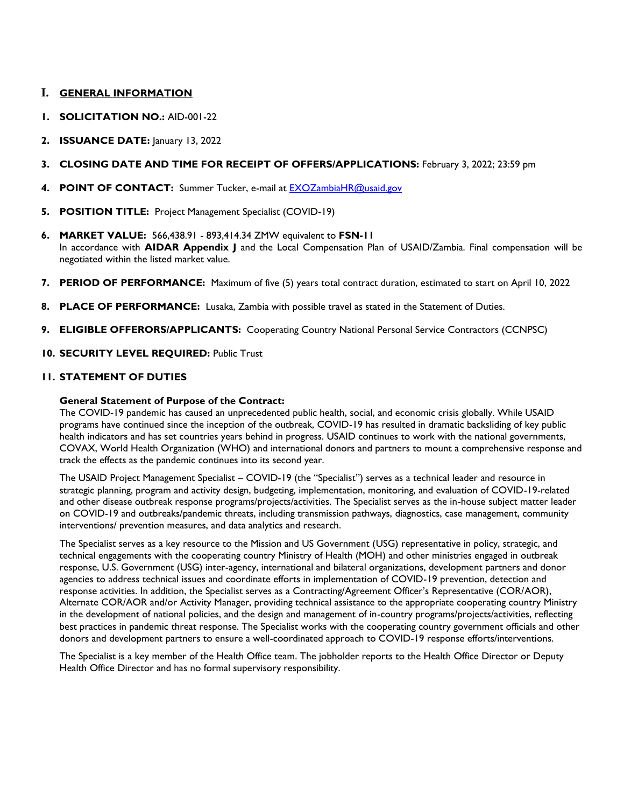## **I. GENERAL INFORMATION**

- **1. SOLICITATION NO.:** AID-001-22
- **2. ISSUANCE DATE:** January 13, 2022
- **3. CLOSING DATE AND TIME FOR RECEIPT OF OFFERS/APPLICATIONS:** February 3, 2022; 23:59 pm
- **4. POINT OF CONTACT:** Summer Tucker, e-mail at [EXOZambiaHR@usaid.gov](mailto:EXOZambiaHR@usaid.gov)
- **5. POSITION TITLE:** Project Management Specialist (COVID-19)
- **6. MARKET VALUE:** 566,438.91 893,414.34 ZMW equivalent to **FSN-11** In accordance with **AIDAR Appendix J** and the Local Compensation Plan of USAID/Zambia. Final compensation will be negotiated within the listed market value.
- **7. PERIOD OF PERFORMANCE:** Maximum of five (5) years total contract duration, estimated to start on April 10, 2022
- **8. PLACE OF PERFORMANCE:** Lusaka, Zambia with possible travel as stated in the Statement of Duties.
- **9. ELIGIBLE OFFERORS/APPLICANTS:** Cooperating Country National Personal Service Contractors (CCNPSC)
- **10. SECURITY LEVEL REQUIRED:** Public Trust

### **11. STATEMENT OF DUTIES**

#### **General Statement of Purpose of the Contract:**

The COVID-19 pandemic has caused an unprecedented public health, social, and economic crisis globally. While USAID programs have continued since the inception of the outbreak, COVID-19 has resulted in dramatic backsliding of key public health indicators and has set countries years behind in progress. USAID continues to work with the national governments, COVAX, World Health Organization (WHO) and international donors and partners to mount a comprehensive response and track the effects as the pandemic continues into its second year.

The USAID Project Management Specialist – COVID-19 (the "Specialist") serves as a technical leader and resource in strategic planning, program and activity design, budgeting, implementation, monitoring, and evaluation of COVID-19-related and other disease outbreak response programs/projects/activities. The Specialist serves as the in-house subject matter leader on COVID-19 and outbreaks/pandemic threats, including transmission pathways, diagnostics, case management, community interventions/ prevention measures, and data analytics and research.

The Specialist serves as a key resource to the Mission and US Government (USG) representative in policy, strategic, and technical engagements with the cooperating country Ministry of Health (MOH) and other ministries engaged in outbreak response, U.S. Government (USG) inter-agency, international and bilateral organizations, development partners and donor agencies to address technical issues and coordinate efforts in implementation of COVID-19 prevention, detection and response activities. In addition, the Specialist serves as a Contracting/Agreement Officer's Representative (COR/AOR), Alternate COR/AOR and/or Activity Manager, providing technical assistance to the appropriate cooperating country Ministry in the development of national policies, and the design and management of in-country programs/projects/activities, reflecting best practices in pandemic threat response. The Specialist works with the cooperating country government officials and other donors and development partners to ensure a well-coordinated approach to COVID-19 response efforts/interventions.

The Specialist is a key member of the Health Office team. The jobholder reports to the Health Office Director or Deputy Health Office Director and has no formal supervisory responsibility.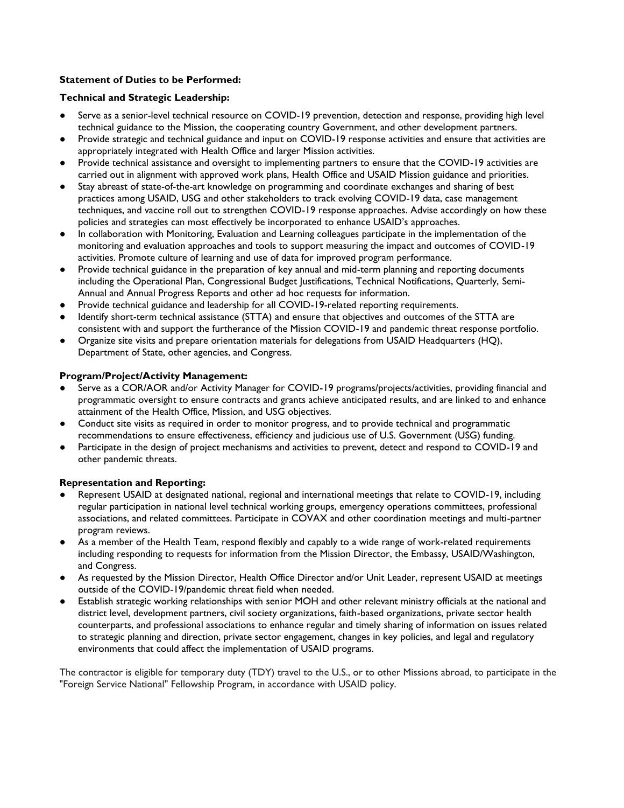# **Statement of Duties to be Performed:**

## **Technical and Strategic Leadership:**

- Serve as a senior-level technical resource on COVID-19 prevention, detection and response, providing high level technical guidance to the Mission, the cooperating country Government, and other development partners.
- Provide strategic and technical guidance and input on COVID-19 response activities and ensure that activities are appropriately integrated with Health Office and larger Mission activities.
- Provide technical assistance and oversight to implementing partners to ensure that the COVID-19 activities are carried out in alignment with approved work plans, Health Office and USAID Mission guidance and priorities.
- Stay abreast of state-of-the-art knowledge on programming and coordinate exchanges and sharing of best practices among USAID, USG and other stakeholders to track evolving COVID-19 data, case management techniques, and vaccine roll out to strengthen COVID-19 response approaches. Advise accordingly on how these policies and strategies can most effectively be incorporated to enhance USAID's approaches.
- In collaboration with Monitoring, Evaluation and Learning colleagues participate in the implementation of the monitoring and evaluation approaches and tools to support measuring the impact and outcomes of COVID-19 activities. Promote culture of learning and use of data for improved program performance.
- Provide technical guidance in the preparation of key annual and mid-term planning and reporting documents including the Operational Plan, Congressional Budget Justifications, Technical Notifications, Quarterly, Semi-Annual and Annual Progress Reports and other ad hoc requests for information.
- Provide technical guidance and leadership for all COVID-19-related reporting requirements.
- Identify short-term technical assistance (STTA) and ensure that objectives and outcomes of the STTA are consistent with and support the furtherance of the Mission COVID-19 and pandemic threat response portfolio.
- Organize site visits and prepare orientation materials for delegations from USAID Headquarters (HQ), Department of State, other agencies, and Congress.

### **Program/Project/Activity Management:**

- Serve as a COR/AOR and/or Activity Manager for COVID-19 programs/projects/activities, providing financial and programmatic oversight to ensure contracts and grants achieve anticipated results, and are linked to and enhance attainment of the Health Office, Mission, and USG objectives.
- Conduct site visits as required in order to monitor progress, and to provide technical and programmatic recommendations to ensure effectiveness, efficiency and judicious use of U.S. Government (USG) funding.
- Participate in the design of project mechanisms and activities to prevent, detect and respond to COVID-19 and other pandemic threats.

#### **Representation and Reporting:**

- Represent USAID at designated national, regional and international meetings that relate to COVID-19, including regular participation in national level technical working groups, emergency operations committees, professional associations, and related committees. Participate in COVAX and other coordination meetings and multi-partner program reviews.
- As a member of the Health Team, respond flexibly and capably to a wide range of work-related requirements including responding to requests for information from the Mission Director, the Embassy, USAID/Washington, and Congress.
- As requested by the Mission Director, Health Office Director and/or Unit Leader, represent USAID at meetings outside of the COVID-19/pandemic threat field when needed.
- Establish strategic working relationships with senior MOH and other relevant ministry officials at the national and district level, development partners, civil society organizations, faith-based organizations, private sector health counterparts, and professional associations to enhance regular and timely sharing of information on issues related to strategic planning and direction, private sector engagement, changes in key policies, and legal and regulatory environments that could affect the implementation of USAID programs.

The contractor is eligible for temporary duty (TDY) travel to the U.S., or to other Missions abroad, to participate in the "Foreign Service National" Fellowship Program, in accordance with USAID policy.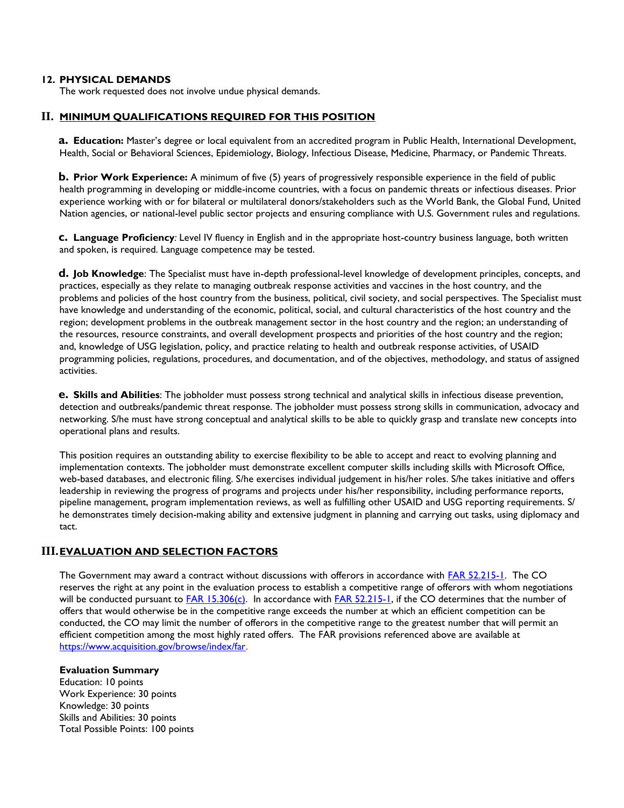#### **12. PHYSICAL DEMANDS**

The work requested does not involve undue physical demands.

### **II. MINIMUM QUALIFICATIONS REQUIRED FOR THIS POSITION**

**a. Education:** Master's degree or local equivalent from an accredited program in Public Health, International Development, Health, Social or Behavioral Sciences, Epidemiology, Biology, Infectious Disease, Medicine, Pharmacy, or Pandemic Threats.

**b. Prior Work Experience:** A minimum of five (5) years of progressively responsible experience in the field of public health programming in developing or middle-income countries, with a focus on pandemic threats or infectious diseases. Prior experience working with or for bilateral or multilateral donors/stakeholders such as the World Bank, the Global Fund, United Nation agencies, or national-level public sector projects and ensuring compliance with U.S. Government rules and regulations.

**c. Language Proficiency***:* Level IV fluency in English and in the appropriate host-country business language, both written and spoken, is required. Language competence may be tested.

**d. Job Knowledge**: The Specialist must have in-depth professional-level knowledge of development principles, concepts, and practices, especially as they relate to managing outbreak response activities and vaccines in the host country, and the problems and policies of the host country from the business, political, civil society, and social perspectives. The Specialist must have knowledge and understanding of the economic, political, social, and cultural characteristics of the host country and the region; development problems in the outbreak management sector in the host country and the region; an understanding of the resources, resource constraints, and overall development prospects and priorities of the host country and the region; and, knowledge of USG legislation, policy, and practice relating to health and outbreak response activities, of USAID programming policies, regulations, procedures, and documentation, and of the objectives, methodology, and status of assigned activities.

**e. Skills and Abilities**: The jobholder must possess strong technical and analytical skills in infectious disease prevention, detection and outbreaks/pandemic threat response. The jobholder must possess strong skills in communication, advocacy and networking. S/he must have strong conceptual and analytical skills to be able to quickly grasp and translate new concepts into operational plans and results.

This position requires an outstanding ability to exercise flexibility to be able to accept and react to evolving planning and implementation contexts. The jobholder must demonstrate excellent computer skills including skills with Microsoft Office, web-based databases, and electronic filing. S/he exercises individual judgement in his/her roles. S/he takes initiative and offers leadership in reviewing the progress of programs and projects under his/her responsibility, including performance reports, pipeline management, program implementation reviews, as well as fulfilling other USAID and USG reporting requirements. S/ he demonstrates timely decision-making ability and extensive judgment in planning and carrying out tasks, using diplomacy and tact.

## **III.EVALUATION AND SELECTION FACTORS**

The Government may award a contract without discussions with offerors in accordance with [FAR 52.215-1.](https://www.acquisition.gov/browse/index/far) The CO reserves the right at any point in the evaluation process to establish a competitive range of offerors with whom negotiations will be conducted pursuant to **FAR 15.306(c)**. In accordance with **FAR 52.215-1**, if the CO determines that the number of offers that would otherwise be in the competitive range exceeds the number at which an efficient competition can be conducted, the CO may limit the number of offerors in the competitive range to the greatest number that will permit an efficient competition among the most highly rated offers. The FAR provisions referenced above are available at [https://www.acquisition.gov/browse/index/far.](https://www.acquisition.gov/browse/index/far)

#### **Evaluation Summary**

Education: 10 points Work Experience: 30 points Knowledge: 30 points Skills and Abilities: 30 points Total Possible Points: 100 points